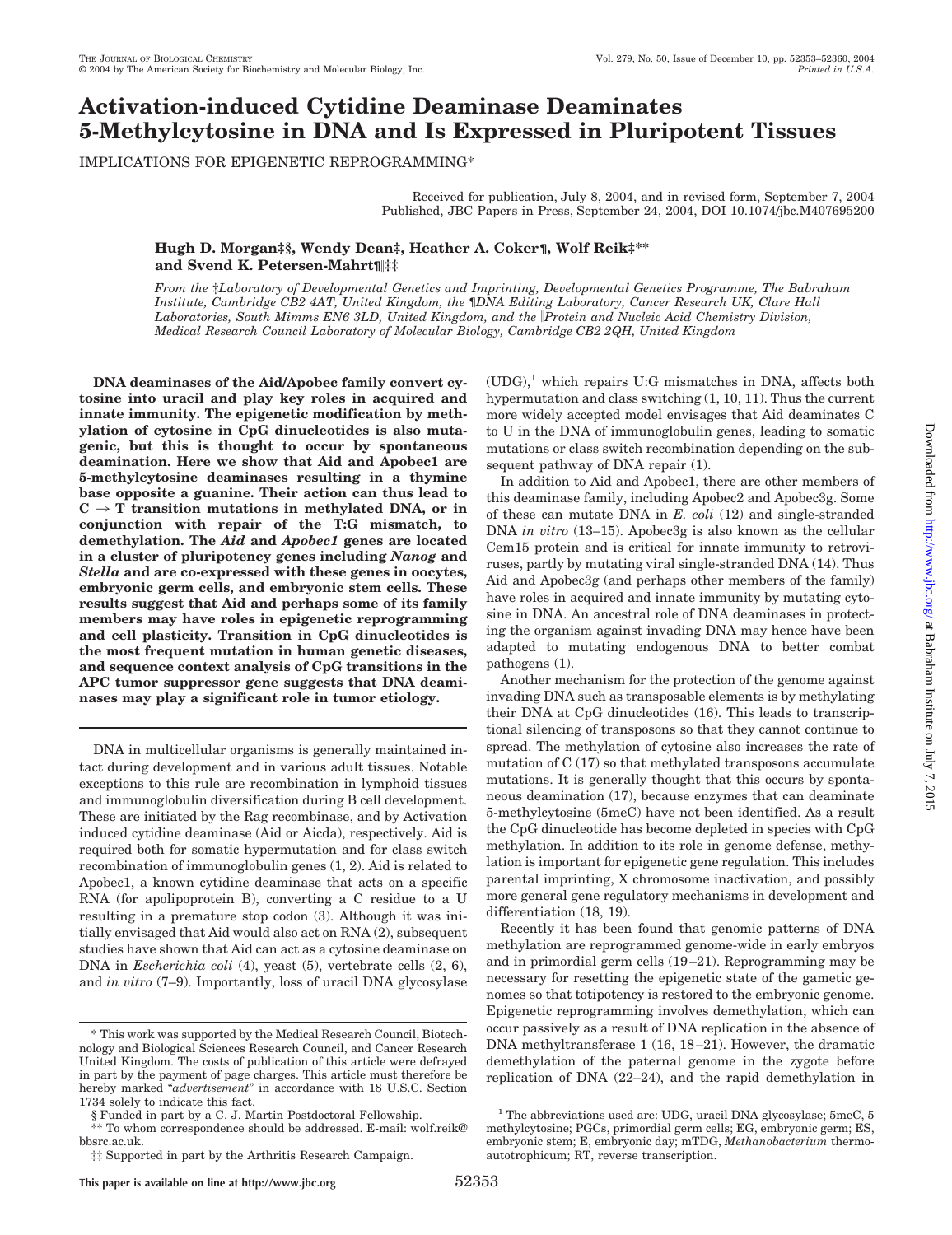# **Activation-induced Cytidine Deaminase Deaminates 5-Methylcytosine in DNA and Is Expressed in Pluripotent Tissues**

IMPLICATIONS FOR EPIGENETIC REPROGRAMMING\*

Received for publication, July 8, 2004, and in revised form, September 7, 2004 Published, JBC Papers in Press, September 24, 2004, DOI 10.1074/jbc.M407695200

### **Hugh D. Morgan‡§, Wendy Dean‡, Heather A. Coker¶, Wolf Reik‡\*\* and Svend K. Petersen-Mahrt¶‡‡**

*From the* ‡*Laboratory of Developmental Genetics and Imprinting, Developmental Genetics Programme, The Babraham Institute, Cambridge CB2 4AT, United Kingdom, the*  $\P$ *DNA Editing Laboratory, Cancer Research UK, Clare Hall Laboratories, South Mimms EN6 3LD, United Kingdom, and the Protein and Nucleic Acid Chemistry Division, Medical Research Council Laboratory of Molecular Biology, Cambridge CB2 2QH, United Kingdom*

**DNA deaminases of the Aid/Apobec family convert cytosine into uracil and play key roles in acquired and innate immunity. The epigenetic modification by methylation of cytosine in CpG dinucleotides is also mutagenic, but this is thought to occur by spontaneous deamination. Here we show that Aid and Apobec1 are 5-methylcytosine deaminases resulting in a thymine base opposite a guanine. Their action can thus lead to**  $C \rightarrow T$  transition mutations in methylated DNA, or in **conjunction with repair of the T:G mismatch, to demethylation. The** *Aid* **and** *Apobec1* **genes are located in a cluster of pluripotency genes including** *Nanog* **and** *Stella* **and are co-expressed with these genes in oocytes, embryonic germ cells, and embryonic stem cells. These results suggest that Aid and perhaps some of its family members may have roles in epigenetic reprogramming and cell plasticity. Transition in CpG dinucleotides is the most frequent mutation in human genetic diseases, and sequence context analysis of CpG transitions in the APC tumor suppressor gene suggests that DNA deaminases may play a significant role in tumor etiology.**

DNA in multicellular organisms is generally maintained intact during development and in various adult tissues. Notable exceptions to this rule are recombination in lymphoid tissues and immunoglobulin diversification during B cell development. These are initiated by the Rag recombinase, and by Activation induced cytidine deaminase (Aid or Aicda), respectively. Aid is required both for somatic hypermutation and for class switch recombination of immunoglobulin genes (1, 2). Aid is related to Apobec1, a known cytidine deaminase that acts on a specific RNA (for apolipoprotein B), converting a C residue to a U resulting in a premature stop codon (3). Although it was initially envisaged that Aid would also act on RNA (2), subsequent studies have shown that Aid can act as a cytosine deaminase on DNA in *Escherichia coli* (4), yeast (5), vertebrate cells (2, 6), and *in vitro* (7–9). Importantly, loss of uracil DNA glycosylase  $(UDG)<sup>1</sup>$  which repairs U:G mismatches in DNA, affects both hypermutation and class switching (1, 10, 11). Thus the current more widely accepted model envisages that Aid deaminates C to U in the DNA of immunoglobulin genes, leading to somatic mutations or class switch recombination depending on the subsequent pathway of DNA repair (1).

In addition to Aid and Apobec1, there are other members of this deaminase family, including Apobec2 and Apobec3g. Some of these can mutate DNA in *E. coli* (12) and single-stranded DNA *in vitro* (13–15). Apobec3g is also known as the cellular Cem15 protein and is critical for innate immunity to retroviruses, partly by mutating viral single-stranded DNA (14). Thus Aid and Apobec3g (and perhaps other members of the family) have roles in acquired and innate immunity by mutating cytosine in DNA. An ancestral role of DNA deaminases in protecting the organism against invading DNA may hence have been adapted to mutating endogenous DNA to better combat pathogens (1).

Another mechanism for the protection of the genome against invading DNA such as transposable elements is by methylating their DNA at CpG dinucleotides (16). This leads to transcriptional silencing of transposons so that they cannot continue to spread. The methylation of cytosine also increases the rate of mutation of C (17) so that methylated transposons accumulate mutations. It is generally thought that this occurs by spontaneous deamination (17), because enzymes that can deaminate 5-methylcytosine (5meC) have not been identified. As a result the CpG dinucleotide has become depleted in species with CpG methylation. In addition to its role in genome defense, methylation is important for epigenetic gene regulation. This includes parental imprinting, X chromosome inactivation, and possibly more general gene regulatory mechanisms in development and differentiation (18, 19).

Recently it has been found that genomic patterns of DNA methylation are reprogrammed genome-wide in early embryos and in primordial germ cells (19 –21). Reprogramming may be necessary for resetting the epigenetic state of the gametic genomes so that totipotency is restored to the embryonic genome. Epigenetic reprogramming involves demethylation, which can occur passively as a result of DNA replication in the absence of DNA methyltransferase 1 (16, 18 –21). However, the dramatic demethylation of the paternal genome in the zygote before replication of DNA (22–24), and the rapid demethylation in

<sup>\*</sup> This work was supported by the Medical Research Council, Biotechnology and Biological Sciences Research Council, and Cancer Research United Kingdom. The costs of publication of this article were defrayed in part by the payment of page charges. This article must therefore be hereby marked "*advertisement*" in accordance with 18 U.S.C. Section 1734 solely to indicate this fact.

<sup>§</sup> Funded in part by a C. J. Martin Postdoctoral Fellowship.

<sup>\*\*</sup> To whom correspondence should be addressed. E-mail: wolf.reik@ bbsrc.ac.uk.

<sup>‡‡</sup> Supported in part by the Arthritis Research Campaign.

<sup>&</sup>lt;sup>1</sup> The abbreviations used are: UDG, uracil DNA glycosylase; 5meC, 5 methylcytosine; PGCs, primordial germ cells; EG, embryonic germ; ES, embryonic stem; E, embryonic day; mTDG, *Methanobacterium* thermoautotrophicum; RT, reverse transcription.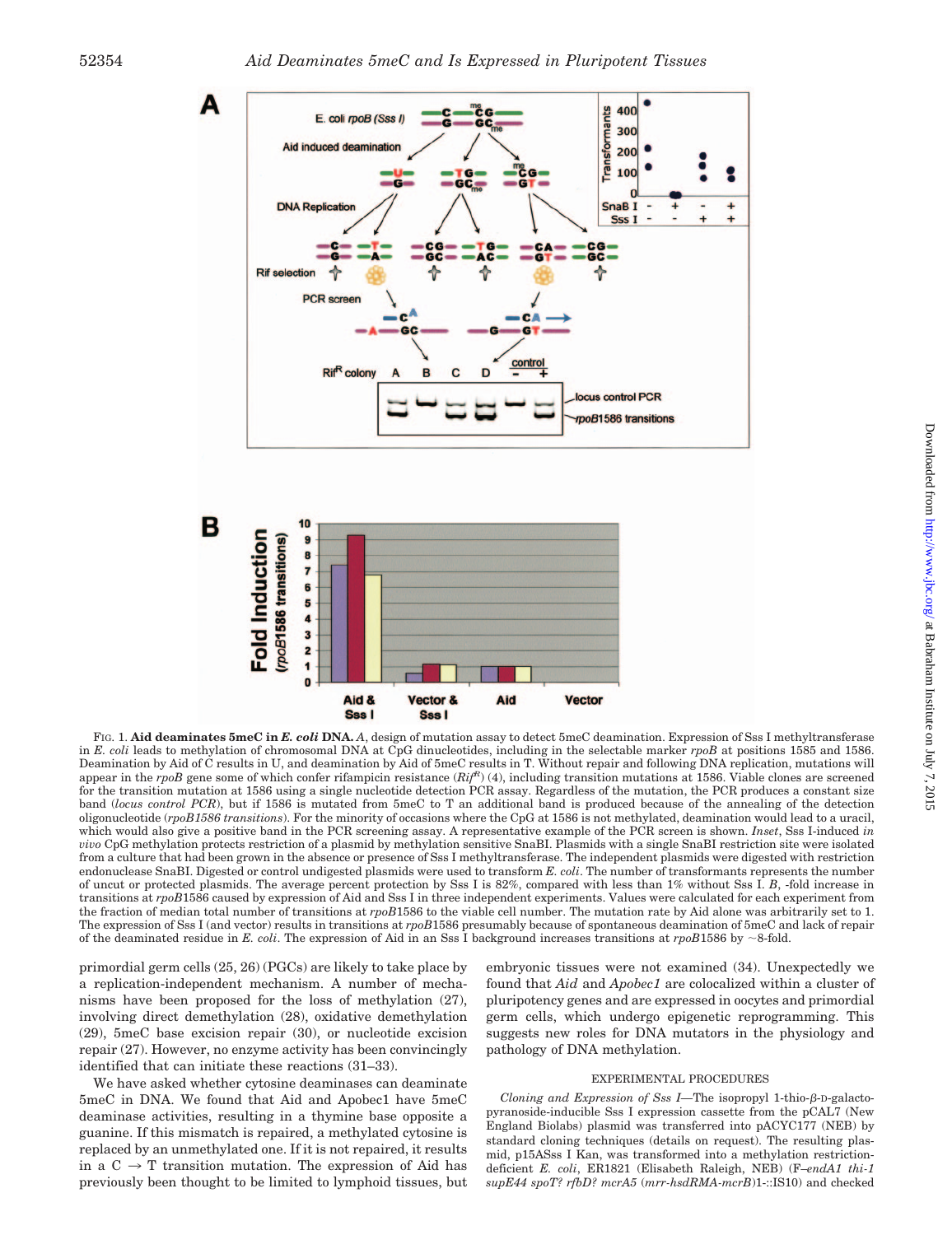



FIG. 1. **Aid deaminates 5meC in** *E. coli* **DNA.** *A*, design of mutation assay to detect 5meC deamination. Expression of Sss I methyltransferase in *E. coli* leads to methylation of chromosomal DNA at CpG dinucleotides, including in the selectable marker *rpoB* at positions 1585 and 1586. Deamination by Aid of C results in U, and deamination by Aid of 5meC results in T. Without repair and following DNA replication, mutations will appear in the *rpoB* gene some of which confer rifampicin resistance (*RifR*) (4), including transition mutations at 1586. Viable clones are screened for the transition mutation at 1586 using a single nucleotide detection PCR assay. Regardless of the mutation, the PCR produces a constant size band (*locus control PCR*), but if 1586 is mutated from 5meC to T an additional band is produced because of the annealing of the detection oligonucleotide (*rpoB1586 transitions*). For the minority of occasions where the CpG at 1586 is not methylated, deamination would lead to a uracil, which would also give a positive band in the PCR screening assay. A representative example of the PCR screen is shown. *Inset*, Sss I-induced *in vivo* CpG methylation protects restriction of a plasmid by methylation sensitive SnaBI. Plasmids with a single SnaBI restriction site were isolated from a culture that had been grown in the absence or presence of Sss I methyltransferase. The independent plasmids were digested with restriction endonuclease SnaBI. Digested or control undigested plasmids were used to transform *E. coli*. The number of transformants represents the number of uncut or protected plasmids. The average percent protection by Sss I is 82%, compared with less than 1% without Sss I. *B*, -fold increase in transitions at *rpoB*1586 caused by expression of Aid and Sss I in three independent experiments. Values were calculated for each experiment from the fraction of median total number of transitions at *rpoB*1586 to the viable cell number. The mutation rate by Aid alone was arbitrarily set to 1. The expression of Sss I (and vector) results in transitions at *rpoB*1586 presumably because of spontaneous deamination of 5meC and lack of repair of the deaminated residue in *E. coli*. The expression of Aid in an Sss I background increases transitions at  $rpoB1586$  by  $\sim$ 8-fold.

primordial germ cells (25, 26) (PGCs) are likely to take place by a replication-independent mechanism. A number of mechanisms have been proposed for the loss of methylation (27), involving direct demethylation (28), oxidative demethylation (29), 5meC base excision repair (30), or nucleotide excision repair (27). However, no enzyme activity has been convincingly identified that can initiate these reactions (31–33).

We have asked whether cytosine deaminases can deaminate 5meC in DNA. We found that Aid and Apobec1 have 5meC deaminase activities, resulting in a thymine base opposite a guanine. If this mismatch is repaired, a methylated cytosine is replaced by an unmethylated one. If it is not repaired, it results in a  $C \rightarrow T$  transition mutation. The expression of Aid has previously been thought to be limited to lymphoid tissues, but

embryonic tissues were not examined (34). Unexpectedly we found that *Aid* and *Apobec1* are colocalized within a cluster of pluripotency genes and are expressed in oocytes and primordial germ cells, which undergo epigenetic reprogramming. This suggests new roles for DNA mutators in the physiology and pathology of DNA methylation.

#### EXPERIMENTAL PROCEDURES

*Cloning and Expression of Sss I—The isopropyl 1-thio-* $\beta$ *-D-galacto*pyranoside-inducible Sss I expression cassette from the pCAL7 (New England Biolabs) plasmid was transferred into pACYC177 (NEB) by standard cloning techniques (details on request). The resulting plasmid, p15ASss I Kan, was transformed into a methylation restrictiondeficient *E. coli*, ER1821 (Elisabeth Raleigh, NEB) (F–*endA1 thi-1 supE44 spoT? rfbD? mcrA5* (*mrr-hsdRMA-mcrB*)1-::IS10) and checked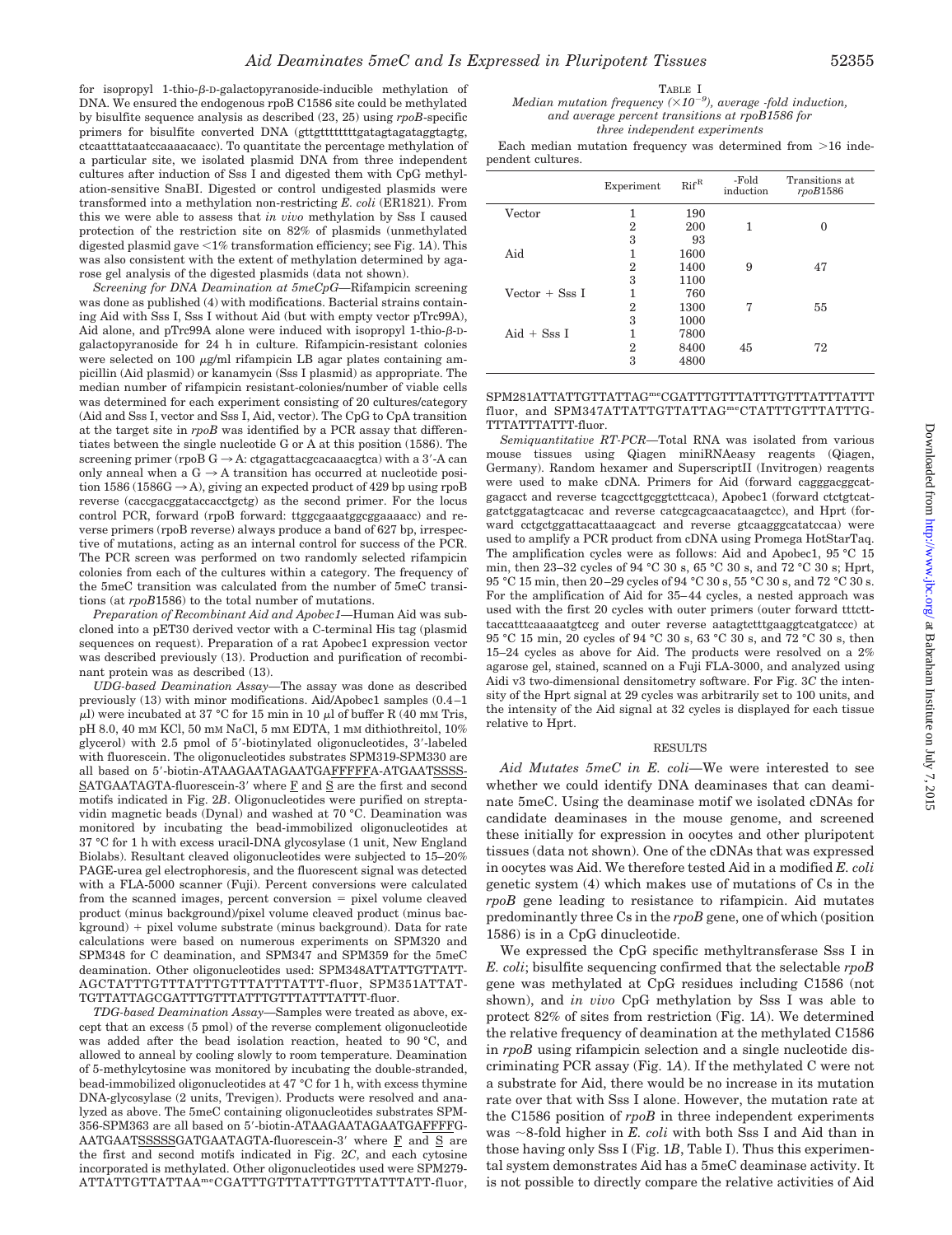for isopropyl 1-thio- $\beta$ -D-galactopyranoside-inducible methylation of DNA. We ensured the endogenous rpoB C1586 site could be methylated by bisulfite sequence analysis as described (23, 25) using *rpoB*-specific primers for bisulfite converted DNA (gttgtttttttttgatagtagataggtagtg, ctcaatttataatccaaaacaacc). To quantitate the percentage methylation of a particular site, we isolated plasmid DNA from three independent cultures after induction of Sss I and digested them with CpG methylation-sensitive SnaBI. Digested or control undigested plasmids were transformed into a methylation non-restricting *E. coli* (ER1821). From this we were able to assess that *in vivo* methylation by Sss I caused protection of the restriction site on 82% of plasmids (unmethylated digested plasmid gave -1% transformation efficiency; see Fig. 1*A*). This was also consistent with the extent of methylation determined by agarose gel analysis of the digested plasmids (data not shown).

*Screening for DNA Deamination at 5meCpG—*Rifampicin screening was done as published (4) with modifications. Bacterial strains containing Aid with Sss I, Sss I without Aid (but with empty vector pTrc99A), Aid alone, and pTrc99A alone were induced with isopropyl 1-thio- $\beta$ -Dgalactopyranoside for 24 h in culture. Rifampicin-resistant colonies were selected on 100  $\mu$ g/ml rifampicin LB agar plates containing ampicillin (Aid plasmid) or kanamycin (Sss I plasmid) as appropriate. The median number of rifampicin resistant-colonies/number of viable cells was determined for each experiment consisting of 20 cultures/category (Aid and Sss I, vector and Sss I, Aid, vector). The CpG to CpA transition at the target site in *rpoB* was identified by a PCR assay that differentiates between the single nucleotide G or A at this position (1586). The screening primer (rpoB G  $\rightarrow$  A: ctgagattacgcacaaacgtca) with a 3'-A can only anneal when a  $G \rightarrow A$  transition has occurred at nucleotide position 1586 (1586G  $\rightarrow$  A), giving an expected product of 429 bp using rpoB reverse (caccgacggataccacctgctg) as the second primer. For the locus control PCR, forward (rpoB forward: ttggcgaaatggcggaaaacc) and reverse primers (rpoB reverse) always produce a band of 627 bp, irrespective of mutations, acting as an internal control for success of the PCR. The PCR screen was performed on two randomly selected rifampicin colonies from each of the cultures within a category. The frequency of the 5meC transition was calculated from the number of 5meC transitions (at *rpoB*1586) to the total number of mutations.

*Preparation of Recombinant Aid and Apobec1—*Human Aid was subcloned into a pET30 derived vector with a C-terminal His tag (plasmid sequences on request). Preparation of a rat Apobec1 expression vector was described previously (13). Production and purification of recombinant protein was as described (13).

*UDG-based Deamination Assay—*The assay was done as described previously (13) with minor modifications. Aid/Apobec1 samples (0.4 –1  $\mu$ l) were incubated at 37 °C for 15 min in 10  $\mu$ l of buffer R (40 mm Tris, pH 8.0, 40 mM KCl, 50 mM NaCl, 5 mM EDTA, 1 mM dithiothreitol, 10% glycerol) with 2.5 pmol of 5-biotinylated oligonucleotides, 3-labeled with fluorescein. The oligonucleotides substrates SPM319-SPM330 are all based on 5-biotin-ATAAGAATAGAATGAFFFFFA-ATGAATSSSS-SATGAATAGTA-fluorescein-3' where  $\underline{F}$  and  $\underline{S}$  are the first and second motifs indicated in Fig. 2*B*. Oligonucleotides were purified on streptavidin magnetic beads (Dynal) and washed at 70 °C. Deamination was monitored by incubating the bead-immobilized oligonucleotides at 37 °C for 1 h with excess uracil-DNA glycosylase (1 unit, New England Biolabs). Resultant cleaved oligonucleotides were subjected to 15–20% PAGE-urea gel electrophoresis, and the fluorescent signal was detected with a FLA-5000 scanner (Fuji). Percent conversions were calculated from the scanned images, percent conversion  $=$  pixel volume cleaved product (minus background)/pixel volume cleaved product (minus bac $k$ ground)  $+$  pixel volume substrate (minus background). Data for rate calculations were based on numerous experiments on SPM320 and SPM348 for C deamination, and SPM347 and SPM359 for the 5meC deamination. Other oligonucleotides used: SPM348ATTATTGTTATT-AGCTATTTGTTTATTTGTTTATTTATTT-fluor, SPM351ATTAT-TGTTATTAGCGATTTGTTTATTTGTTTATTTATTT-fluor.

*TDG-based Deamination Assay—*Samples were treated as above, except that an excess (5 pmol) of the reverse complement oligonucleotide was added after the bead isolation reaction, heated to 90 °C, and allowed to anneal by cooling slowly to room temperature. Deamination of 5-methylcytosine was monitored by incubating the double-stranded, bead-immobilized oligonucleotides at 47 °C for 1 h, with excess thymine DNA-glycosylase (2 units, Trevigen). Products were resolved and analyzed as above. The 5meC containing oligonucleotides substrates SPM-356-SPM363 are all based on 5-biotin-ATAAGAATAGAATGAFFFFG-AATGAATSSSSSGATGAATAGTA-fluorescein-3' where  $\overline{F}$  and  $\overline{S}$  are the first and second motifs indicated in Fig. 2*C*, and each cytosine incorporated is methylated. Other oligonucleotides used were SPM279- ATTATTGTTATTAAmeCGATTTGTTTATTTGTTTATTTATT-fluor,

#### TABLE I *Median mutation frequency (10<sup>9</sup> ), average -fold induction, and average percent transitions at rpoB1586 for three independent experiments*

Each median mutation frequency was determined from  $>16$  independent cultures.

|                       | Experiment     | $Rif^R$ | -Fold<br>induction | Transitions at<br>rpoB1586 |
|-----------------------|----------------|---------|--------------------|----------------------------|
| Vector                | 1              | 190     |                    |                            |
|                       | $\overline{2}$ | 200     | 1                  | 0                          |
|                       | 3              | 93      |                    |                            |
| Aid                   | 1              | 1600    |                    |                            |
|                       | 2              | 1400    | 9                  | 47                         |
|                       | 3              | 1100    |                    |                            |
| Vector $+$ Sss I      | 1              | 760     |                    |                            |
|                       | $\overline{2}$ | 1300    | 7                  | 55                         |
|                       | 3              | 1000    |                    |                            |
| $\text{A}$ id + Sss I | 1              | 7800    |                    |                            |
|                       | $\overline{2}$ | 8400    | 45                 | 72                         |
|                       | 3              | 4800    |                    |                            |

SPM281ATTATTGTTATTAGmeCGATTTGTTTATTTGTTTATTTATTT fluor, and SPM347ATTATTGTTATTAG<sup>me</sup>CTATTTGTTTATTTG-TTTATTTATTT-fluor.

*Semiquantitative RT-PCR—*Total RNA was isolated from various mouse tissues using Qiagen miniRNAeasy reagents (Qiagen, Germany). Random hexamer and SuperscriptII (Invitrogen) reagents were used to make cDNA. Primers for Aid (forward cagggacggcatgagacct and reverse tcagccttgcggtcttcaca), Apobec1 (forward ctctgtcatgatctggatagtcacac and reverse catcgcagcaacataagctcc), and Hprt (forward cctgctggattacattaaagcact and reverse gtcaagggcatatccaa) were used to amplify a PCR product from cDNA using Promega HotStarTaq. The amplification cycles were as follows: Aid and Apobec1, 95 °C 15 min, then 23–32 cycles of 94 °C 30 s, 65 °C 30 s, and 72 °C 30 s; Hprt, 95 °C 15 min, then 20 –29 cycles of 94 °C 30 s, 55 °C 30 s, and 72 °C 30 s. For the amplification of Aid for 35– 44 cycles, a nested approach was used with the first 20 cycles with outer primers (outer forward tttctttaccatttcaaaaatgtccg and outer reverse aatagtctttgaaggtcatgatccc) at 95 °C 15 min, 20 cycles of 94 °C 30 s, 63 °C 30 s, and 72 °C 30 s, then 15–24 cycles as above for Aid. The products were resolved on a 2% agarose gel, stained, scanned on a Fuji FLA-3000, and analyzed using Aidi v3 two-dimensional densitometry software. For Fig. 3*C* the intensity of the Hprt signal at 29 cycles was arbitrarily set to 100 units, and the intensity of the Aid signal at 32 cycles is displayed for each tissue relative to Hprt.

#### RESULTS

*Aid Mutates 5meC in E. coli—*We were interested to see whether we could identify DNA deaminases that can deaminate 5meC. Using the deaminase motif we isolated cDNAs for candidate deaminases in the mouse genome, and screened these initially for expression in oocytes and other pluripotent tissues (data not shown). One of the cDNAs that was expressed in oocytes was Aid. We therefore tested Aid in a modified *E. coli* genetic system (4) which makes use of mutations of Cs in the *rpoB* gene leading to resistance to rifampicin. Aid mutates predominantly three Cs in the *rpoB* gene, one of which (position 1586) is in a CpG dinucleotide.

We expressed the CpG specific methyltransferase Sss I in *E. coli*; bisulfite sequencing confirmed that the selectable *rpoB* gene was methylated at CpG residues including C1586 (not shown), and *in vivo* CpG methylation by Sss I was able to protect 82% of sites from restriction (Fig. 1*A*). We determined the relative frequency of deamination at the methylated C1586 in *rpoB* using rifampicin selection and a single nucleotide discriminating PCR assay (Fig. 1*A*). If the methylated C were not a substrate for Aid, there would be no increase in its mutation rate over that with Sss I alone. However, the mutation rate at the C1586 position of *rpoB* in three independent experiments was  $\sim$ 8-fold higher in *E. coli* with both Sss I and Aid than in those having only Sss I (Fig. 1*B*, Table I). Thus this experimental system demonstrates Aid has a 5meC deaminase activity. It is not possible to directly compare the relative activities of Aid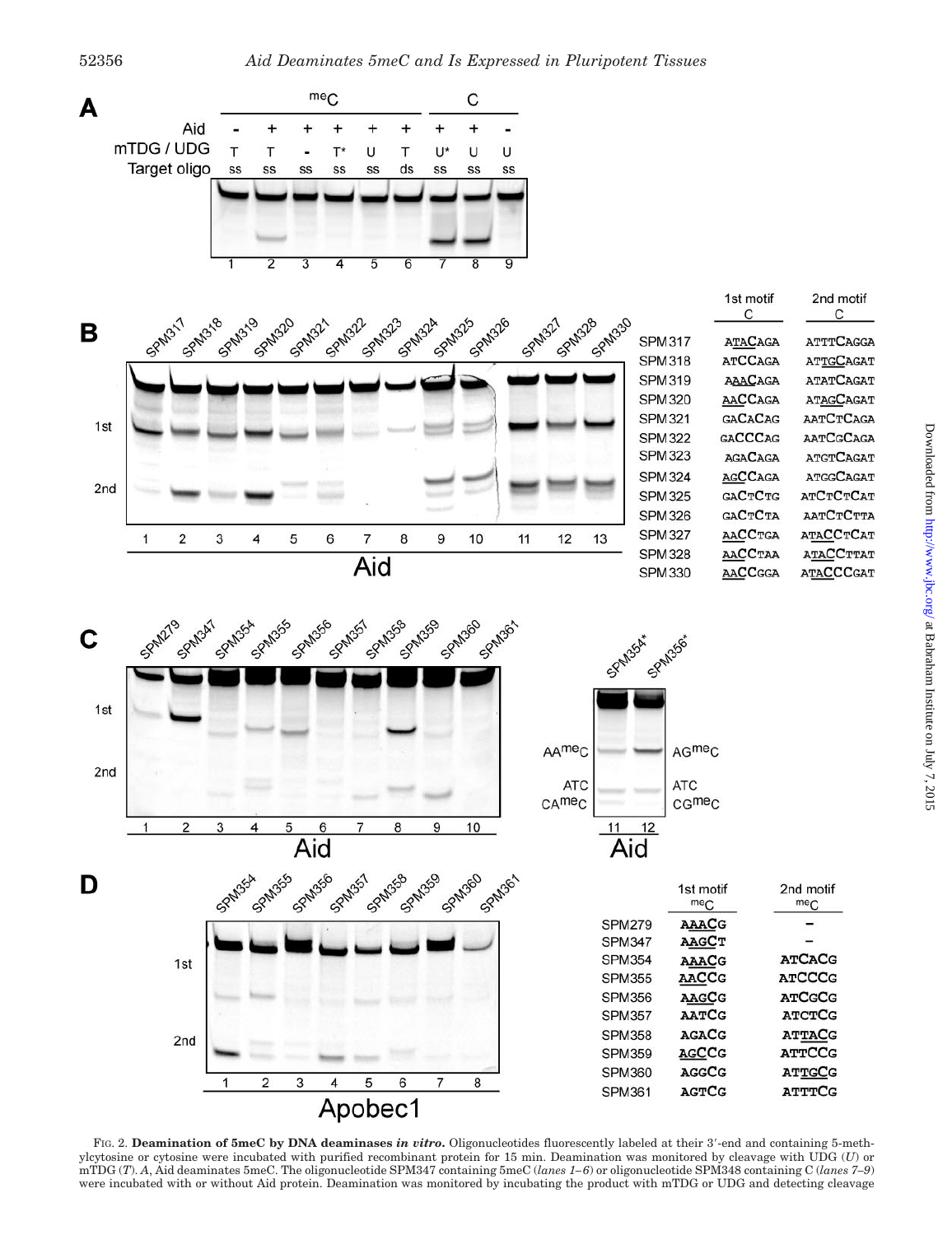

FIG. 2. **Deamination of 5meC by DNA deaminases** *in vitro***.** Oligonucleotides fluorescently labeled at their 3-end and containing 5-methylcytosine or cytosine were incubated with purified recombinant protein for 15 min. Deamination was monitored by cleavage with UDG (*U*) or mTDG (*T*). *A*, Aid deaminates 5meC. The oligonucleotide SPM347 containing 5meC (*lanes 1– 6*) or oligonucleotide SPM348 containing C (*lanes 7–9*) were incubated with or without Aid protein. Deamination was monitored by incubating the product with mTDG or UDG and detecting cleavage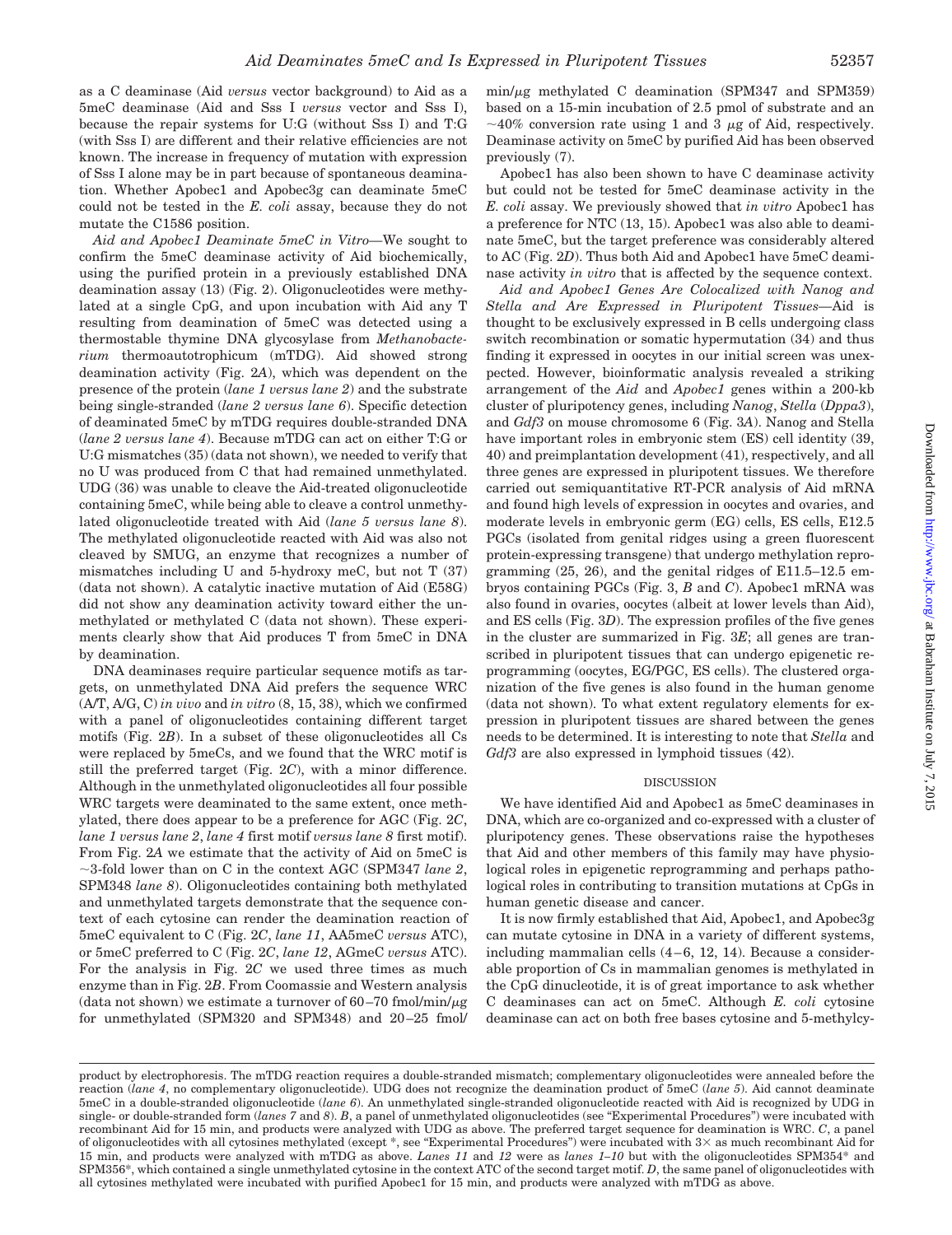as a C deaminase (Aid *versus* vector background) to Aid as a 5meC deaminase (Aid and Sss I *versus* vector and Sss I), because the repair systems for U:G (without Sss I) and T:G (with Sss I) are different and their relative efficiencies are not known. The increase in frequency of mutation with expression of Sss I alone may be in part because of spontaneous deamination. Whether Apobec1 and Apobec3g can deaminate 5meC could not be tested in the *E. coli* assay, because they do not mutate the C1586 position.

*Aid and Apobec1 Deaminate 5meC in Vitro—*We sought to confirm the 5meC deaminase activity of Aid biochemically, using the purified protein in a previously established DNA deamination assay (13) (Fig. 2). Oligonucleotides were methylated at a single CpG, and upon incubation with Aid any T resulting from deamination of 5meC was detected using a thermostable thymine DNA glycosylase from *Methanobacterium* thermoautotrophicum (mTDG). Aid showed strong deamination activity (Fig. 2*A*), which was dependent on the presence of the protein (*lane 1 versus lane 2*) and the substrate being single-stranded (*lane 2 versus lane 6*). Specific detection of deaminated 5meC by mTDG requires double-stranded DNA (*lane 2 versus lane 4*). Because mTDG can act on either T:G or U:G mismatches (35) (data not shown), we needed to verify that no U was produced from C that had remained unmethylated. UDG (36) was unable to cleave the Aid-treated oligonucleotide containing 5meC, while being able to cleave a control unmethylated oligonucleotide treated with Aid (*lane 5 versus lane 8*). The methylated oligonucleotide reacted with Aid was also not cleaved by SMUG, an enzyme that recognizes a number of mismatches including U and  $5$ -hydroxy meC, but not T  $(37)$ (data not shown). A catalytic inactive mutation of Aid (E58G) did not show any deamination activity toward either the unmethylated or methylated C (data not shown). These experiments clearly show that Aid produces T from 5meC in DNA by deamination.

DNA deaminases require particular sequence motifs as targets, on unmethylated DNA Aid prefers the sequence WRC (A/T, A/G, C) *in vivo* and *in vitro* (8, 15, 38), which we confirmed with a panel of oligonucleotides containing different target motifs (Fig. 2*B*). In a subset of these oligonucleotides all Cs were replaced by 5meCs, and we found that the WRC motif is still the preferred target (Fig. 2*C*), with a minor difference. Although in the unmethylated oligonucleotides all four possible WRC targets were deaminated to the same extent, once methylated, there does appear to be a preference for AGC (Fig. 2*C*, *lane 1 versus lane 2*, *lane 4* first motif *versus lane 8* first motif). From Fig. 2*A* we estimate that the activity of Aid on 5meC is 3-fold lower than on C in the context AGC (SPM347 *lane 2*, SPM348 *lane 8*). Oligonucleotides containing both methylated and unmethylated targets demonstrate that the sequence context of each cytosine can render the deamination reaction of 5meC equivalent to C (Fig. 2*C*, *lane 11*, AA5meC *versus* ATC), or 5meC preferred to C (Fig. 2*C*, *lane 12*, AGmeC *versus* ATC). For the analysis in Fig. 2*C* we used three times as much enzyme than in Fig. 2*B*. From Coomassie and Western analysis  $(data not shown)$  we estimate a turnover of 60-70 fmol/min/ $\mu$ g for unmethylated (SPM320 and SPM348) and 20 –25 fmol/

 $min/\mu$ g methylated C deamination (SPM347 and SPM359) based on a 15-min incubation of 2.5 pmol of substrate and an  $\sim$ 40% conversion rate using 1 and 3  $\mu$ g of Aid, respectively. Deaminase activity on 5meC by purified Aid has been observed previously (7).

Apobec1 has also been shown to have C deaminase activity but could not be tested for 5meC deaminase activity in the *E. coli* assay. We previously showed that *in vitro* Apobec1 has a preference for NTC (13, 15). Apobec1 was also able to deaminate 5meC, but the target preference was considerably altered to AC (Fig. 2*D*). Thus both Aid and Apobec1 have 5meC deaminase activity *in vitro* that is affected by the sequence context.

*Aid and Apobec1 Genes Are Colocalized with Nanog and Stella and Are Expressed in Pluripotent Tissues—*Aid is thought to be exclusively expressed in B cells undergoing class switch recombination or somatic hypermutation (34) and thus finding it expressed in oocytes in our initial screen was unexpected. However, bioinformatic analysis revealed a striking arrangement of the *Aid* and *Apobec1* genes within a 200-kb cluster of pluripotency genes, including *Nanog*, *Stella* (*Dppa3*), and *Gdf3* on mouse chromosome 6 (Fig. 3*A*). Nanog and Stella have important roles in embryonic stem  $(ES)$  cell identity (39, 40) and preimplantation development (41), respectively, and all three genes are expressed in pluripotent tissues. We therefore carried out semiquantitative RT-PCR analysis of Aid mRNA and found high levels of expression in oocytes and ovaries, and moderate levels in embryonic germ (EG) cells, ES cells, E12.5 PGCs (isolated from genital ridges using a green fluorescent protein-expressing transgene) that undergo methylation reprogramming (25, 26), and the genital ridges of E11.5–12.5 embryos containing PGCs (Fig. 3, *B* and *C*). Apobec1 mRNA was also found in ovaries, oocytes (albeit at lower levels than Aid), and ES cells (Fig. 3*D*). The expression profiles of the five genes in the cluster are summarized in Fig. 3*E*; all genes are transcribed in pluripotent tissues that can undergo epigenetic reprogramming (oocytes, EG/PGC, ES cells). The clustered organization of the five genes is also found in the human genome (data not shown). To what extent regulatory elements for expression in pluripotent tissues are shared between the genes needs to be determined. It is interesting to note that *Stella* and *Gdf3* are also expressed in lymphoid tissues (42).

#### DISCUSSION

We have identified Aid and Apobec1 as 5meC deaminases in DNA, which are co-organized and co-expressed with a cluster of pluripotency genes. These observations raise the hypotheses that Aid and other members of this family may have physiological roles in epigenetic reprogramming and perhaps pathological roles in contributing to transition mutations at CpGs in human genetic disease and cancer.

It is now firmly established that Aid, Apobec1, and Apobec3g can mutate cytosine in DNA in a variety of different systems, including mammalian cells  $(4-6, 12, 14)$ . Because a considerable proportion of Cs in mammalian genomes is methylated in the CpG dinucleotide, it is of great importance to ask whether C deaminases can act on 5meC. Although *E. coli* cytosine deaminase can act on both free bases cytosine and 5-methylcy-

product by electrophoresis. The mTDG reaction requires a double-stranded mismatch; complementary oligonucleotides were annealed before the reaction (*lane 4*, no complementary oligonucleotide). UDG does not recognize the deamination product of 5meC (*lane 5*). Aid cannot deaminate 5meC in a double-stranded oligonucleotide (*lane 6*). An unmethylated single-stranded oligonucleotide reacted with Aid is recognized by UDG in single- or double-stranded form (*lanes 7* and *8*). *B*, a panel of unmethylated oligonucleotides (see "Experimental Procedures") were incubated with recombinant Aid for 15 min, and products were analyzed with UDG as above. The preferred target sequence for deamination is WRC. *C*, a panel of oligonucleotides with all cytosines methylated (except  $*$ , see "Experimental Procedures") were incubated with  $3\times$  as much recombinant Aid for 15 min, and products were analyzed with mTDG as above. *Lanes 11* and *12* were as *lanes 1–10* but with the oligonucleotides SPM354\* and SPM356\*, which contained a single unmethylated cytosine in the context ATC of the second target motif. *D*, the same panel of oligonucleotides with all cytosines methylated were incubated with purified Apobec1 for 15 min, and products were analyzed with mTDG as above.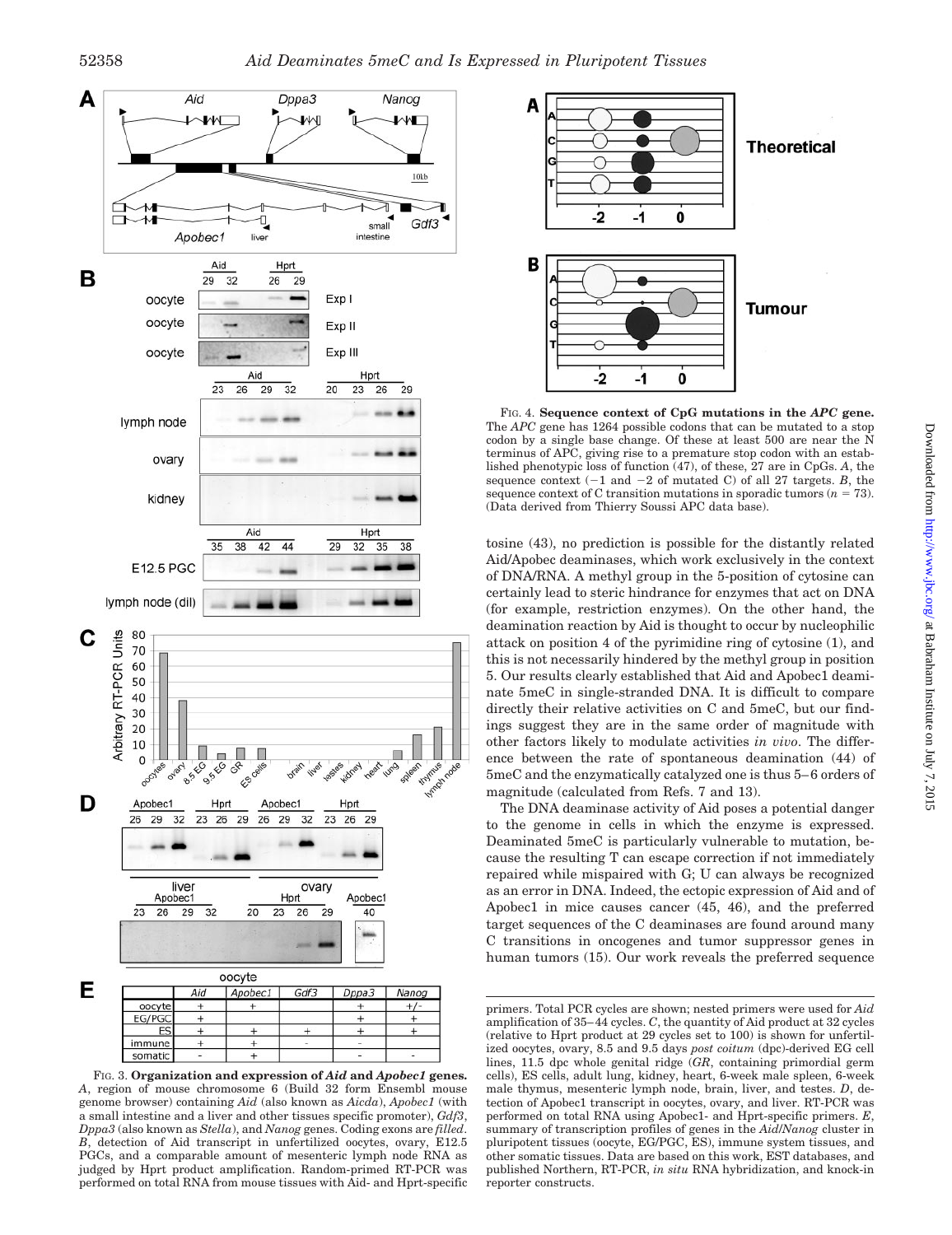

FIG. 3. **Organization and expression of** *Aid* **and** *Apobec1* **genes.** *A*, region of mouse chromosome 6 (Build 32 form Ensembl mouse genome browser) containing *Aid* (also known as *Aicda*), *Apobec1* (with a small intestine and a liver and other tissues specific promoter), *Gdf3*, *Dppa3* (also known as *Stella*), and *Nanog* genes. Coding exons are *filled*. *B*, detection of Aid transcript in unfertilized oocytes, ovary, E12.5 PGCs, and a comparable amount of mesenteric lymph node RNA as judged by Hprt product amplification. Random-primed RT-PCR was performed on total RNA from mouse tissues with Aid- and Hprt-specific



## **Theoretical**

FIG. 4. **Sequence context of CpG mutations in the** *APC* **gene.** The *APC* gene has 1264 possible codons that can be mutated to a stop codon by a single base change. Of these at least 500 are near the N terminus of APC, giving rise to a premature stop codon with an established phenotypic loss of function (47), of these, 27 are in CpGs. *A*, the sequence context  $(-1 \text{ and } -2 \text{ of mutated C})$  of all 27 targets. *B*, the sequence context of C transition mutations in sporadic tumors  $(n = 73)$ . (Data derived from Thierry Soussi APC data base).

tosine (43), no prediction is possible for the distantly related Aid/Apobec deaminases, which work exclusively in the context of DNA/RNA. A methyl group in the 5-position of cytosine can certainly lead to steric hindrance for enzymes that act on DNA (for example, restriction enzymes). On the other hand, the deamination reaction by Aid is thought to occur by nucleophilic attack on position 4 of the pyrimidine ring of cytosine (1), and this is not necessarily hindered by the methyl group in position 5. Our results clearly established that Aid and Apobec1 deaminate 5meC in single-stranded DNA. It is difficult to compare directly their relative activities on C and 5meC, but our findings suggest they are in the same order of magnitude with other factors likely to modulate activities *in vivo*. The difference between the rate of spontaneous deamination (44) of 5meC and the enzymatically catalyzed one is thus 5– 6 orders of magnitude (calculated from Refs. 7 and 13).

The DNA deaminase activity of Aid poses a potential danger to the genome in cells in which the enzyme is expressed. Deaminated 5meC is particularly vulnerable to mutation, because the resulting T can escape correction if not immediately repaired while mispaired with G; U can always be recognized as an error in DNA. Indeed, the ectopic expression of Aid and of Apobec1 in mice causes cancer (45, 46), and the preferred target sequences of the C deaminases are found around many C transitions in oncogenes and tumor suppressor genes in human tumors (15). Our work reveals the preferred sequence

primers. Total PCR cycles are shown; nested primers were used for *Aid* amplification of 35– 44 cycles. *C*, the quantity of Aid product at 32 cycles (relative to Hprt product at 29 cycles set to 100) is shown for unfertilized oocytes, ovary, 8.5 and 9.5 days *post coitum* (dpc)-derived EG cell lines, 11.5 dpc whole genital ridge (*GR*, containing primordial germ cells), ES cells, adult lung, kidney, heart, 6-week male spleen, 6-week male thymus, mesenteric lymph node, brain, liver, and testes. *D*, detection of Apobec1 transcript in oocytes, ovary, and liver. RT-PCR was performed on total RNA using Apobec1- and Hprt-specific primers. *E*, summary of transcription profiles of genes in the *Aid*/*Nanog* cluster in pluripotent tissues (oocyte, EG/PGC, ES), immune system tissues, and other somatic tissues. Data are based on this work, EST databases, and published Northern, RT-PCR, *in situ* RNA hybridization, and knock-in reporter constructs.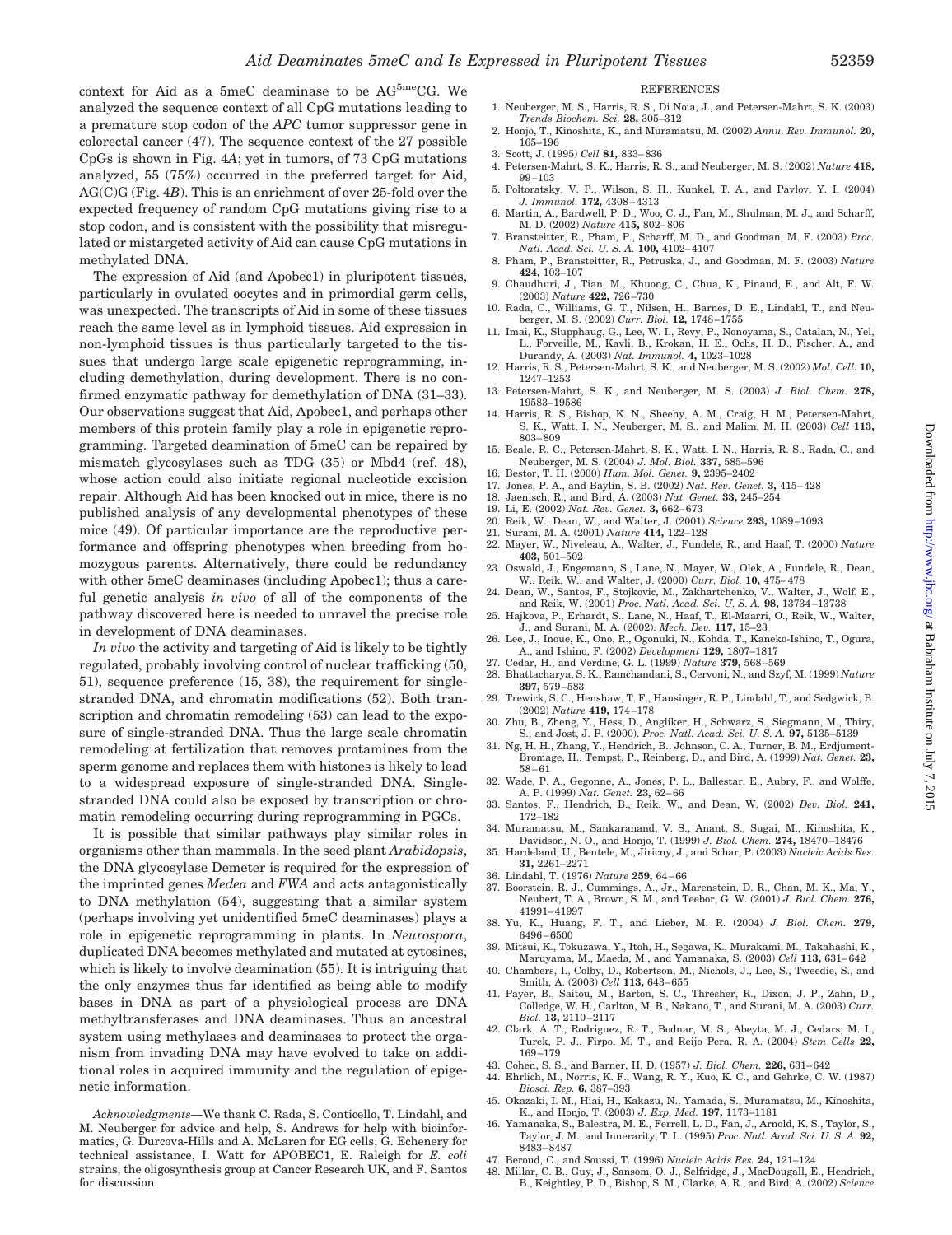context for Aid as a 5meC deaminase to be AG<sup>5me</sup>CG. We analyzed the sequence context of all CpG mutations leading to a premature stop codon of the *APC* tumor suppressor gene in colorectal cancer (47). The sequence context of the 27 possible CpGs is shown in Fig. 4*A*; yet in tumors, of 73 CpG mutations analyzed, 55 (75%) occurred in the preferred target for Aid, AG(C)G (Fig. 4*B*). This is an enrichment of over 25-fold over the expected frequency of random CpG mutations giving rise to a stop codon, and is consistent with the possibility that misregulated or mistargeted activity of Aid can cause CpG mutations in methylated DNA.

The expression of Aid (and Apobec1) in pluripotent tissues, particularly in ovulated oocytes and in primordial germ cells, was unexpected. The transcripts of Aid in some of these tissues reach the same level as in lymphoid tissues. Aid expression in non-lymphoid tissues is thus particularly targeted to the tissues that undergo large scale epigenetic reprogramming, including demethylation, during development. There is no confirmed enzymatic pathway for demethylation of DNA (31–33). Our observations suggest that Aid, Apobec1, and perhaps other members of this protein family play a role in epigenetic reprogramming. Targeted deamination of 5meC can be repaired by mismatch glycosylases such as TDG (35) or Mbd4 (ref. 48), whose action could also initiate regional nucleotide excision repair. Although Aid has been knocked out in mice, there is no published analysis of any developmental phenotypes of these mice (49). Of particular importance are the reproductive performance and offspring phenotypes when breeding from homozygous parents. Alternatively, there could be redundancy with other 5meC deaminases (including Apobec1); thus a careful genetic analysis *in vivo* of all of the components of the pathway discovered here is needed to unravel the precise role in development of DNA deaminases.

*In vivo* the activity and targeting of Aid is likely to be tightly regulated, probably involving control of nuclear trafficking (50, 51), sequence preference (15, 38), the requirement for singlestranded DNA, and chromatin modifications (52). Both transcription and chromatin remodeling (53) can lead to the exposure of single-stranded DNA. Thus the large scale chromatin remodeling at fertilization that removes protamines from the sperm genome and replaces them with histones is likely to lead to a widespread exposure of single-stranded DNA. Singlestranded DNA could also be exposed by transcription or chromatin remodeling occurring during reprogramming in PGCs.

It is possible that similar pathways play similar roles in organisms other than mammals. In the seed plant *Arabidopsis*, the DNA glycosylase Demeter is required for the expression of the imprinted genes *Medea* and *FWA* and acts antagonistically to DNA methylation (54), suggesting that a similar system (perhaps involving yet unidentified 5meC deaminases) plays a role in epigenetic reprogramming in plants. In *Neurospora*, duplicated DNA becomes methylated and mutated at cytosines, which is likely to involve deamination (55). It is intriguing that the only enzymes thus far identified as being able to modify bases in DNA as part of a physiological process are DNA methyltransferases and DNA deaminases. Thus an ancestral system using methylases and deaminases to protect the organism from invading DNA may have evolved to take on additional roles in acquired immunity and the regulation of epigenetic information.

#### **REFERENCES**

- 1. Neuberger, M. S., Harris, R. S., Di Noia, J., and Petersen-Mahrt, S. K. (2003) *Trends Biochem. Sci.* **28,** 305–312
- 2. Honjo, T., Kinoshita, K., and Muramatsu, M. (2002) *Annu. Rev. Immunol.* **20,** 165–196
- 3. Scott, J. (1995) *Cell* **81,** 833– 836
- 4. Petersen-Mahrt, S. K., Harris, R. S., and Neuberger, M. S. (2002) *Nature* **418,** 99 –103
- 5. Poltoratsky, V. P., Wilson, S. H., Kunkel, T. A., and Pavlov, Y. I. (2004) *J. Immunol.* **172,** 4308 – 4313
- 6. Martin, A., Bardwell, P. D., Woo, C. J., Fan, M., Shulman, M. J., and Scharff, M. D. (2002) *Nature* **415,** 802– 806
- 7. Bransteitter, R., Pham, P., Scharff, M. D., and Goodman, M. F. (2003) *Proc. Natl. Acad. Sci. U. S. A.* **100,** 4102– 4107
- 8. Pham, P., Bransteitter, R., Petruska, J., and Goodman, M. F. (2003) *Nature* **424,** 103–107
- 9. Chaudhuri, J., Tian, M., Khuong, C., Chua, K., Pinaud, E., and Alt, F. W. (2003) *Nature* **422,** 726 –730
- 10. Rada, C., Williams, G. T., Nilsen, H., Barnes, D. E., Lindahl, T., and Neuberger, M. S. (2002) *Curr. Biol.* **12,** 1748 –1755
- 11. Imai, K., Slupphaug, G., Lee, W. I., Revy, P., Nonoyama, S., Catalan, N., Yel, L., Forveille, M., Kavli, B., Krokan, H. E., Ochs, H. D., Fischer, A., and Durandy, A. (2003) *Nat. Immunol.* **4,** 1023–1028
- 12. Harris, R. S., Petersen-Mahrt, S. K., and Neuberger, M. S. (2002) *Mol. Cell.* **10,** 1247–1253
- 13. Petersen-Mahrt, S. K., and Neuberger, M. S. (2003) *J. Biol. Chem.* **278,** 19583–19586
- 14. Harris, R. S., Bishop, K. N., Sheehy, A. M., Craig, H. M., Petersen-Mahrt, S. K., Watt, I. N., Neuberger, M. S., and Malim, M. H. (2003) *Cell* **113,** 803– 809
- 15. Beale, R. C., Petersen-Mahrt, S. K., Watt, I. N., Harris, R. S., Rada, C., and Neuberger, M. S. (2004) *J. Mol. Biol.* **337,** 585–596
- 16. Bestor, T. H. (2000) *Hum. Mol. Genet.* **9,** 2395–2402
- 17. Jones, P. A., and Baylin, S. B. (2002) *Nat. Rev. Genet.* **3,** 415– 428
- 18. Jaenisch, R., and Bird, A. (2003) *Nat. Genet.* **33,** 245–254
- 19. Li, E. (2002) *Nat. Rev. Genet.* **3,** 662– 673 20. Reik, W., Dean, W., and Walter, J. (2001) *Science* **293,** 1089 –1093
- 21. Surani, M. A. (2001) *Nature* **414,** 122–128
- 22. Mayer, W., Niveleau, A., Walter, J., Fundele, R., and Haaf, T. (2000) *Nature* **403,** 501–502
- 23. Oswald, J., Engemann, S., Lane, N., Mayer, W., Olek, A., Fundele, R., Dean, W., Reik, W., and Walter, J. (2000) *Curr. Biol.* **10,** 475– 478
- 24. Dean, W., Santos, F., Stojkovic, M., Zakhartchenko, V., Walter, J., Wolf, E., and Reik, W. (2001) *Proc. Natl. Acad. Sci. U. S. A.* **98,** 13734 –13738
- 25. Hajkova, P., Erhardt, S., Lane, N., Haaf, T., El-Maarri, O., Reik, W., Walter, J., and Surani, M. A. (2002). *Mech. Dev.* **117,** 15–23
- 26. Lee, J., Inoue, K., Ono, R., Ogonuki, N., Kohda, T., Kaneko-Ishino, T., Ogura, A., and Ishino, F. (2002) *Development* **129,** 1807–1817
- 27. Cedar, H., and Verdine, G. L. (1999) *Nature* **379,** 568 –569 28. Bhattacharya, S. K., Ramchandani, S., Cervoni, N., and Szyf, M. (1999) *Nature* **397,** 579 –583
- 29. Trewick, S. C., Henshaw, T. F., Hausinger, R. P., Lindahl, T., and Sedgwick, B. (2002) *Nature* **419,** 174 –178
- 30. Zhu, B., Zheng, Y., Hess, D., Angliker, H., Schwarz, S., Siegmann, M., Thiry, S., and Jost, J. P. (2000). *Proc. Natl. Acad. Sci. U. S. A.* **97,** 5135–5139
- 31. Ng, H. H., Zhang, Y., Hendrich, B., Johnson, C. A., Turner, B. M., Erdjument-Bromage, H., Tempst, P., Reinberg, D., and Bird, A. (1999) *Nat. Genet.* **23,** 58 – 61
- 32. Wade, P. A., Gegonne, A., Jones, P. L., Ballestar, E., Aubry, F., and Wolffe, A. P. (1999) *Nat. Genet.* **23,** 62– 66
- 33. Santos, F., Hendrich, B., Reik, W., and Dean, W. (2002) *Dev. Biol.* **241,** 172–182
- 34. Muramatsu, M., Sankaranand, V. S., Anant, S., Sugai, M., Kinoshita, K., Davidson, N. O., and Honjo, T. (1999) *J. Biol. Chem.* **274,** 18470 –18476
- 35. Hardeland, U., Bentele, M., Jiricny, J., and Schar, P. (2003) *Nucleic Acids Res.* **31,** 2261–2271
- 36. Lindahl, T. (1976) *Nature* **259,** 64 66
- 37. Boorstein, R. J., Cummings, A., Jr., Marenstein, D. R., Chan, M. K., Ma, Y., Neubert, T. A., Brown, S. M., and Teebor, G. W. (2001) *J. Biol. Chem.* **276,** 41991– 41997
- 38. Yu, K., Huang, F. T., and Lieber, M. R. (2004) *J. Biol. Chem.* **279,** 6496 – 6500
- 39. Mitsui, K., Tokuzawa, Y., Itoh, H., Segawa, K., Murakami, M., Takahashi, K., Maruyama, M., Maeda, M., and Yamanaka, S. (2003) *Cell* **113,** 631– 642
- 40. Chambers, I., Colby, D., Robertson, M., Nichols, J., Lee, S., Tweedie, S., and Smith, A. (2003) *Cell* **113,** 643– 655
- 41. Payer, B., Saitou, M., Barton, S. C., Thresher, R., Dixon, J. P., Zahn, D., Colledge, W. H., Carlton, M. B., Nakano, T., and Surani, M. A. (2003) *Curr. Biol.* **13,** 2110 –2117
- 42. Clark, A. T., Rodriguez, R. T., Bodnar, M. S., Abeyta, M. J., Cedars, M. I., Turek, P. J., Firpo, M. T., and Reijo Pera, R. A. (2004) *Stem Cells* **22,** 169 –179
- 43. Cohen, S. S., and Barner, H. D. (1957) *J. Biol. Chem.* **226,** 631– 642
- 44. Ehrlich, M., Norris, K. F., Wang, R. Y., Kuo, K. C., and Gehrke, C. W. (1987)
- *Biosci. Rep.* **6,** 387–393 45. Okazaki, I. M., Hiai, H., Kakazu, N., Yamada, S., Muramatsu, M., Kinoshita,
- K., and Honjo, T. (2003) *J. Exp. Med.* **197,** 1173–1181 46. Yamanaka, S., Balestra, M. E., Ferrell, L. D., Fan, J., Arnold, K. S., Taylor, S., Taylor, J. M., and Innerarity, T. L. (1995) *Proc. Natl. Acad. Sci. U. S. A.* **92,** 8483– 8487
- 47. Beroud, C., and Soussi, T. (1996) *Nucleic Acids Res.* **24,** 121–124
- 48. Millar, C. B., Guy, J., Sansom, O. J., Selfridge, J., MacDougall, E., Hendrich, B., Keightley, P. D., Bishop, S. M., Clarke, A. R., and Bird, A. (2002) *Science*

*Acknowledgments—*We thank C. Rada, S. Conticello, T. Lindahl, and M. Neuberger for advice and help, S. Andrews for help with bioinformatics, G. Durcova-Hills and A. McLaren for EG cells, G. Echenery for technical assistance, I. Watt for APOBEC1, E. Raleigh for *E. coli* strains, the oligosynthesis group at Cancer Research UK, and F. Santos for discussion.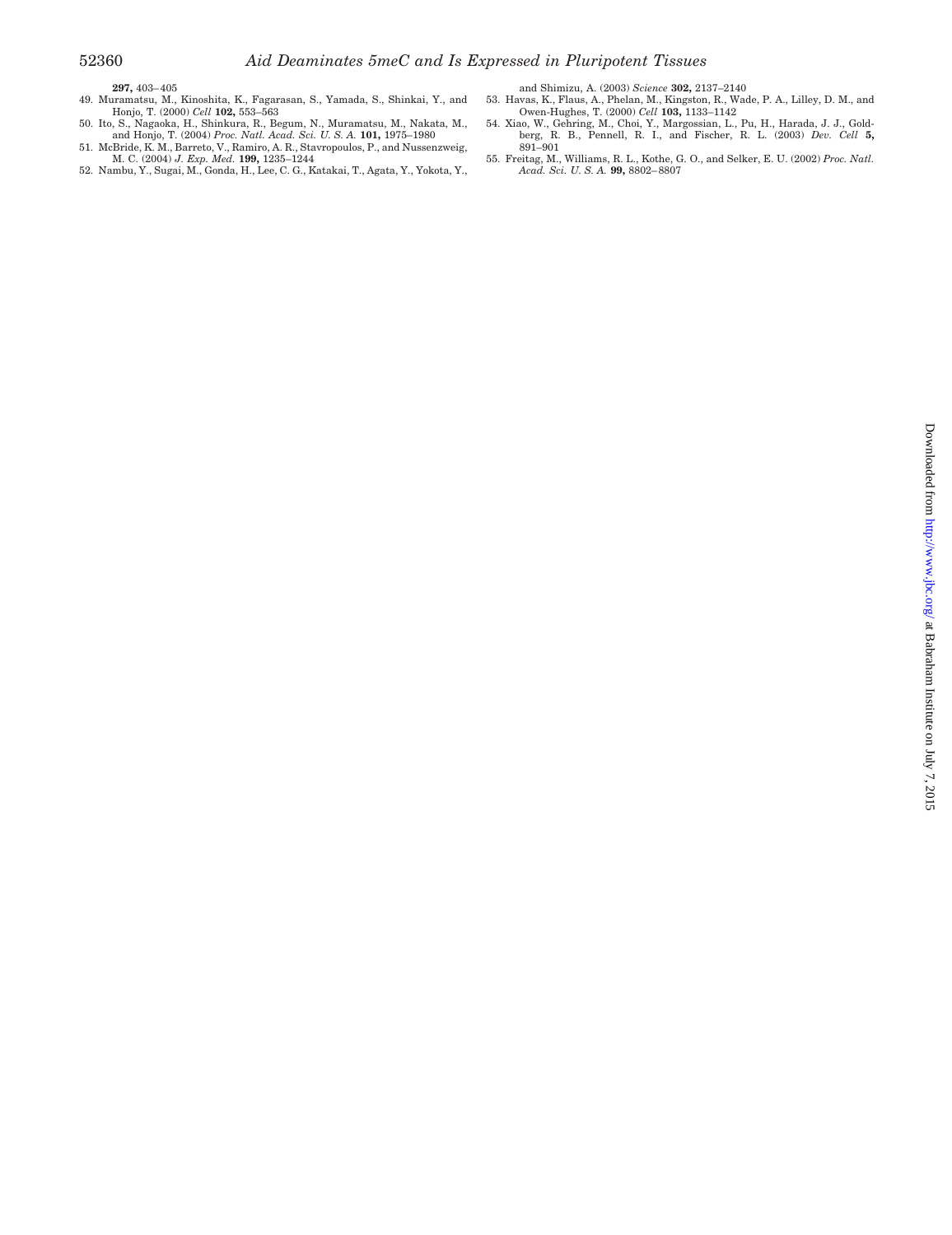- **297,** 403– 405 49. Muramatsu, M., Kinoshita, K., Fagarasan, S., Yamada, S., Shinkai, Y., and Honjo, T. (2000) *Cell* **102,** 553–563
- 
- and Shimizu, A. (2003) *Science* **302,** 2137–2140 53. Havas, K., Flaus, A., Phelan, M., Kingston, R., Wade, P. A., Lilley, D. M., and Owen-Hughes, T. (2000) *Cell* **103,** 1133–1142
- 54. Xiao, W., Gehring, M., Choi, Y., Margossian, L., Pu, H., Harada, J. J., Gold-berg, R. B., Pennell, R. I., and Fischer, R. L. (2003) *Dev. Cell* **5,**
- 891–901 55. Freitag, M., Williams, R. L., Kothe, G. O., and Selker, E. U. (2002) *Proc. Natl. Acad. Sci. U. S. A.* **99,** 8802– 8807
- 50. Ito, S., Nagaoka, H., Shinkura, R., Begum, N., Muramatsu, M., Nakata, M., and Honjo, T. (2004) Proc. Natl. Acad. Sci. U. S. A. 1**01,** 1975–1980<br>51. McBride, K. M., Barreto, V., Ramiro, A. R., Stavropoulos, P., and Nussenzweig,<br>M. C. (2004) J. Exp. Med. 1**99,** 1235–1244<br>52. Nambu, Y., Sugai, M.,
-